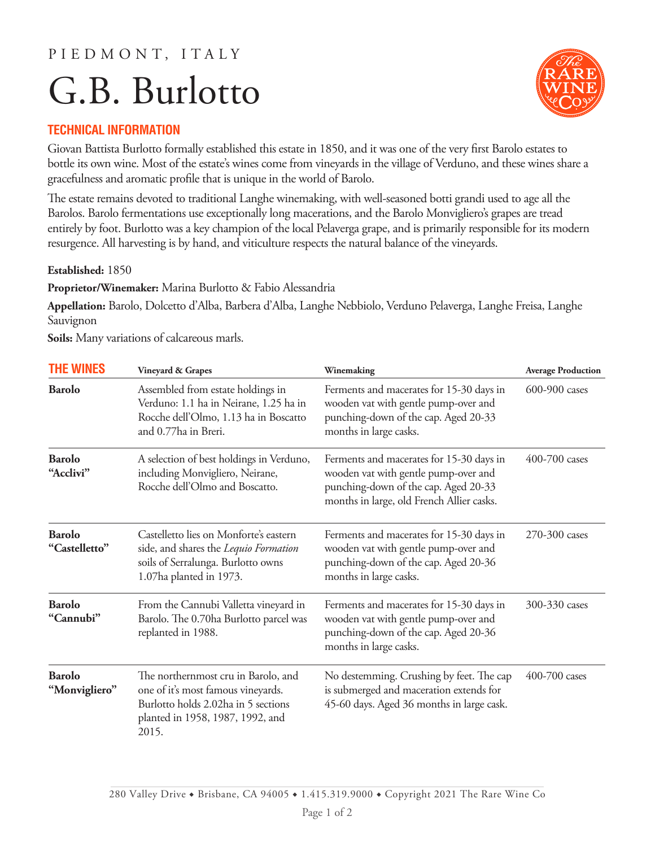### P I E D M O N T, I T A L Y

# G.B. Burlotto



#### **TECHNICAL INFORMATION**

Giovan Battista Burlotto formally established this estate in 1850, and it was one of the very first Barolo estates to bottle its own wine. Most of the estate's wines come from vineyards in the village of Verduno, and these wines share a gracefulness and aromatic profile that is unique in the world of Barolo.

The estate remains devoted to traditional Langhe winemaking, with well-seasoned botti grandi used to age all the Barolos. Barolo fermentations use exceptionally long macerations, and the Barolo Monvigliero's grapes are tread entirely by foot. Burlotto was a key champion of the local Pelaverga grape, and is primarily responsible for its modern resurgence. All harvesting is by hand, and viticulture respects the natural balance of the vineyards.

#### **Established:** 1850

**Proprietor/Winemaker:** Marina Burlotto & Fabio Alessandria

**Appellation:** Barolo, Dolcetto d'Alba, Barbera d'Alba, Langhe Nebbiolo, Verduno Pelaverga, Langhe Freisa, Langhe Sauvignon

**Soils:** Many variations of calcareous marls.

| <b>THE WINES</b>               | Vineyard & Grapes                                                                                                                                             | Winemaking                                                                                                                                                            | <b>Average Production</b> |
|--------------------------------|---------------------------------------------------------------------------------------------------------------------------------------------------------------|-----------------------------------------------------------------------------------------------------------------------------------------------------------------------|---------------------------|
| <b>Barolo</b>                  | Assembled from estate holdings in<br>Verduno: 1.1 ha in Neirane, 1.25 ha in<br>Rocche dell'Olmo, 1.13 ha in Boscatto<br>and 0.77ha in Breri.                  | Ferments and macerates for 15-30 days in<br>wooden vat with gentle pump-over and<br>punching-down of the cap. Aged 20-33<br>months in large casks.                    | 600-900 cases             |
| <b>Barolo</b><br>"Acclivi"     | A selection of best holdings in Verduno,<br>including Monvigliero, Neirane,<br>Rocche dell'Olmo and Boscatto.                                                 | Ferments and macerates for 15-30 days in<br>wooden vat with gentle pump-over and<br>punching-down of the cap. Aged 20-33<br>months in large, old French Allier casks. | $400-700$ cases           |
| <b>Barolo</b><br>"Castelletto" | Castelletto lies on Monforte's eastern<br>side, and shares the Lequio Formation<br>soils of Serralunga. Burlotto owns<br>1.07ha planted in 1973.              | Ferments and macerates for 15-30 days in<br>wooden vat with gentle pump-over and<br>punching-down of the cap. Aged 20-36<br>months in large casks.                    | 270-300 cases             |
| <b>Barolo</b><br>"Cannubi"     | From the Cannubi Valletta vineyard in<br>Barolo. The 0.70ha Burlotto parcel was<br>replanted in 1988.                                                         | Ferments and macerates for 15-30 days in<br>wooden vat with gentle pump-over and<br>punching-down of the cap. Aged 20-36<br>months in large casks.                    | 300-330 cases             |
| <b>Barolo</b><br>"Monvigliero" | The northernmost cru in Barolo, and<br>one of it's most famous vineyards.<br>Burlotto holds 2.02ha in 5 sections<br>planted in 1958, 1987, 1992, and<br>2015. | No destemming. Crushing by feet. The cap<br>is submerged and maceration extends for<br>45-60 days. Aged 36 months in large cask.                                      | 400-700 cases             |